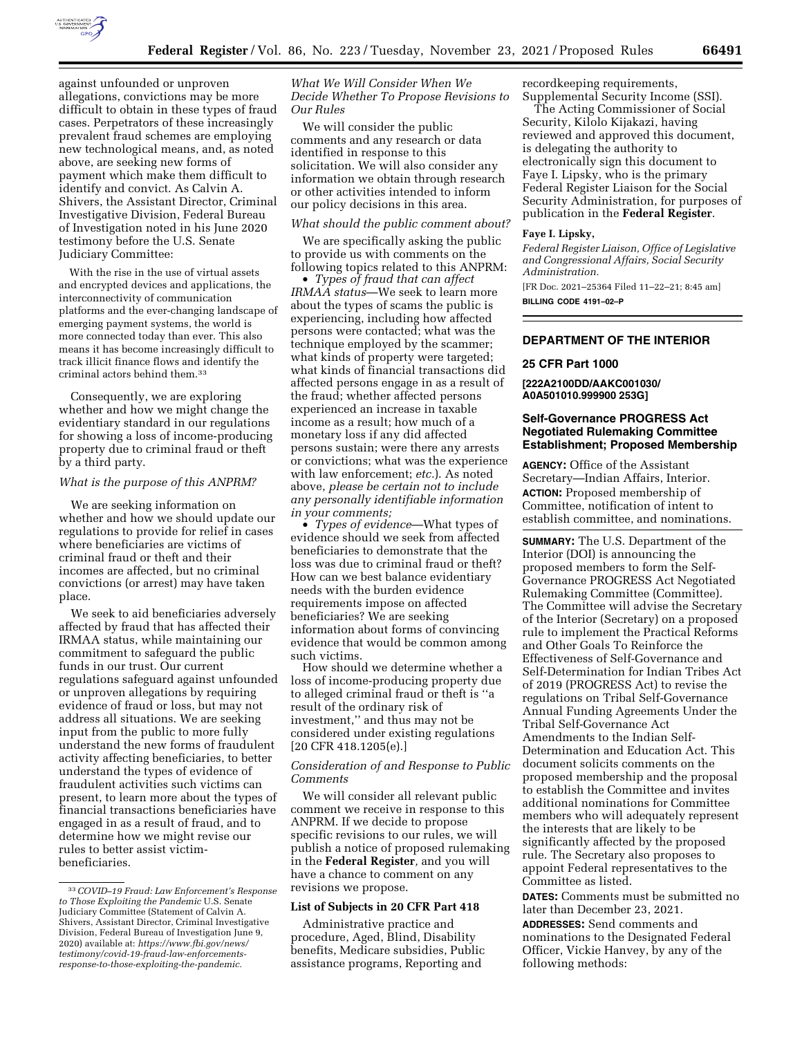

against unfounded or unproven allegations, convictions may be more difficult to obtain in these types of fraud cases. Perpetrators of these increasingly prevalent fraud schemes are employing new technological means, and, as noted above, are seeking new forms of payment which make them difficult to identify and convict. As Calvin A. Shivers, the Assistant Director, Criminal Investigative Division, Federal Bureau of Investigation noted in his June 2020 testimony before the U.S. Senate Judiciary Committee:

With the rise in the use of virtual assets and encrypted devices and applications, the interconnectivity of communication platforms and the ever-changing landscape of emerging payment systems, the world is more connected today than ever. This also means it has become increasingly difficult to track illicit finance flows and identify the criminal actors behind them.33

Consequently, we are exploring whether and how we might change the evidentiary standard in our regulations for showing a loss of income-producing property due to criminal fraud or theft by a third party.

#### *What is the purpose of this ANPRM?*

We are seeking information on whether and how we should update our regulations to provide for relief in cases where beneficiaries are victims of criminal fraud or theft and their incomes are affected, but no criminal convictions (or arrest) may have taken place.

We seek to aid beneficiaries adversely affected by fraud that has affected their IRMAA status, while maintaining our commitment to safeguard the public funds in our trust. Our current regulations safeguard against unfounded or unproven allegations by requiring evidence of fraud or loss, but may not address all situations. We are seeking input from the public to more fully understand the new forms of fraudulent activity affecting beneficiaries, to better understand the types of evidence of fraudulent activities such victims can present, to learn more about the types of financial transactions beneficiaries have engaged in as a result of fraud, and to determine how we might revise our rules to better assist victimbeneficiaries.

*What We Will Consider When We Decide Whether To Propose Revisions to Our Rules* 

We will consider the public comments and any research or data identified in response to this solicitation. We will also consider any information we obtain through research or other activities intended to inform our policy decisions in this area.

## *What should the public comment about?*

We are specifically asking the public to provide us with comments on the following topics related to this ANPRM:

• *Types of fraud that can affect IRMAA status*—We seek to learn more about the types of scams the public is experiencing, including how affected persons were contacted; what was the technique employed by the scammer; what kinds of property were targeted; what kinds of financial transactions did affected persons engage in as a result of the fraud; whether affected persons experienced an increase in taxable income as a result; how much of a monetary loss if any did affected persons sustain; were there any arrests or convictions; what was the experience with law enforcement; *etc.*). As noted above, *please be certain not to include any personally identifiable information in your comments;* 

• *Types of evidence*—What types of evidence should we seek from affected beneficiaries to demonstrate that the loss was due to criminal fraud or theft? How can we best balance evidentiary needs with the burden evidence requirements impose on affected beneficiaries? We are seeking information about forms of convincing evidence that would be common among such victims.

How should we determine whether a loss of income-producing property due to alleged criminal fraud or theft is ''a result of the ordinary risk of investment,'' and thus may not be considered under existing regulations [20 CFR 418.1205(e).]

#### *Consideration of and Response to Public Comments*

We will consider all relevant public comment we receive in response to this ANPRM. If we decide to propose specific revisions to our rules, we will publish a notice of proposed rulemaking in the **Federal Register***,* and you will have a chance to comment on any revisions we propose.

#### **List of Subjects in 20 CFR Part 418**

Administrative practice and procedure, Aged, Blind, Disability benefits, Medicare subsidies, Public assistance programs, Reporting and

recordkeeping requirements, Supplemental Security Income (SSI).

The Acting Commissioner of Social Security, Kilolo Kijakazi, having reviewed and approved this document, is delegating the authority to electronically sign this document to Faye I. Lipsky, who is the primary Federal Register Liaison for the Social Security Administration, for purposes of publication in the **Federal Register**.

#### **Faye I. Lipsky,**

*Federal Register Liaison, Office of Legislative and Congressional Affairs, Social Security Administration.* 

[FR Doc. 2021–25364 Filed 11–22–21; 8:45 am] **BILLING CODE 4191–02–P** 

## **DEPARTMENT OF THE INTERIOR**

### **25 CFR Part 1000**

**[222A2100DD/AAKC001030/ A0A501010.999900 253G]** 

## **Self-Governance PROGRESS Act Negotiated Rulemaking Committee Establishment; Proposed Membership**

**AGENCY:** Office of the Assistant Secretary—Indian Affairs, Interior. **ACTION:** Proposed membership of Committee, notification of intent to establish committee, and nominations.

**SUMMARY:** The U.S. Department of the Interior (DOI) is announcing the proposed members to form the Self-Governance PROGRESS Act Negotiated Rulemaking Committee (Committee). The Committee will advise the Secretary of the Interior (Secretary) on a proposed rule to implement the Practical Reforms and Other Goals To Reinforce the Effectiveness of Self-Governance and Self-Determination for Indian Tribes Act of 2019 (PROGRESS Act) to revise the regulations on Tribal Self-Governance Annual Funding Agreements Under the Tribal Self-Governance Act Amendments to the Indian Self-Determination and Education Act. This document solicits comments on the proposed membership and the proposal to establish the Committee and invites additional nominations for Committee members who will adequately represent the interests that are likely to be significantly affected by the proposed rule. The Secretary also proposes to appoint Federal representatives to the Committee as listed.

**DATES:** Comments must be submitted no later than December 23, 2021.

**ADDRESSES:** Send comments and nominations to the Designated Federal Officer, Vickie Hanvey, by any of the following methods:

<sup>33</sup>*COVID–19 Fraud: Law Enforcement's Response to Those Exploiting the Pandemic* U.S. Senate Judiciary Committee (Statement of Calvin A. Shivers, Assistant Director, Criminal Investigative Division, Federal Bureau of Investigation June 9, 2020) available at: *[https://www.fbi.gov/news/](https://www.fbi.gov/news/testimony/covid-19-fraud-law-enforcements-response-to-those-exploiting-the-pandemic)  [testimony/covid-19-fraud-law-enforcements](https://www.fbi.gov/news/testimony/covid-19-fraud-law-enforcements-response-to-those-exploiting-the-pandemic)[response-to-those-exploiting-the-pandemic.](https://www.fbi.gov/news/testimony/covid-19-fraud-law-enforcements-response-to-those-exploiting-the-pandemic)*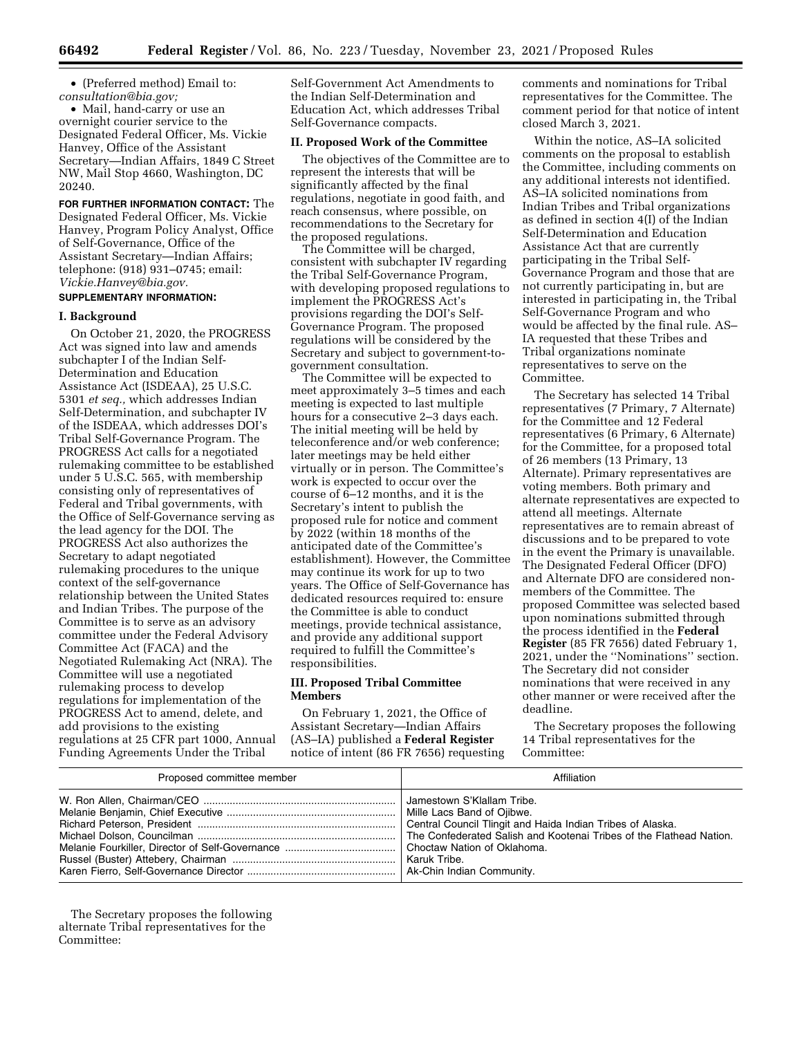• (Preferred method) Email to: *[consultation@bia.gov;](mailto:consultation@bia.gov)* 

• Mail, hand-carry or use an overnight courier service to the Designated Federal Officer, Ms. Vickie Hanvey, Office of the Assistant Secretary—Indian Affairs, 1849 C Street NW, Mail Stop 4660, Washington, DC 20240.

**FOR FURTHER INFORMATION CONTACT:** The Designated Federal Officer, Ms. Vickie Hanvey, Program Policy Analyst, Office of Self-Governance, Office of the Assistant Secretary—Indian Affairs; telephone: (918) 931–0745; email: *[Vickie.Hanvey@bia.gov.](mailto:Vickie.Hanvey@bia.gov)* 

# **SUPPLEMENTARY INFORMATION:**

#### **I. Background**

On October 21, 2020, the PROGRESS Act was signed into law and amends subchapter I of the Indian Self-Determination and Education Assistance Act (ISDEAA), 25 U.S.C. 5301 *et seq.,* which addresses Indian Self-Determination, and subchapter IV of the ISDEAA, which addresses DOI's Tribal Self-Governance Program. The PROGRESS Act calls for a negotiated rulemaking committee to be established under 5 U.S.C. 565, with membership consisting only of representatives of Federal and Tribal governments, with the Office of Self-Governance serving as the lead agency for the DOI. The PROGRESS Act also authorizes the Secretary to adapt negotiated rulemaking procedures to the unique context of the self-governance relationship between the United States and Indian Tribes. The purpose of the Committee is to serve as an advisory committee under the Federal Advisory Committee Act (FACA) and the Negotiated Rulemaking Act (NRA). The Committee will use a negotiated rulemaking process to develop regulations for implementation of the PROGRESS Act to amend, delete, and add provisions to the existing regulations at 25 CFR part 1000, Annual Funding Agreements Under the Tribal

Self-Government Act Amendments to the Indian Self-Determination and Education Act, which addresses Tribal Self-Governance compacts.

## **II. Proposed Work of the Committee**

The objectives of the Committee are to represent the interests that will be significantly affected by the final regulations, negotiate in good faith, and reach consensus, where possible, on recommendations to the Secretary for the proposed regulations.

The Committee will be charged, consistent with subchapter IV regarding the Tribal Self-Governance Program, with developing proposed regulations to implement the PROGRESS Act's provisions regarding the DOI's Self-Governance Program. The proposed regulations will be considered by the Secretary and subject to government-togovernment consultation.

The Committee will be expected to meet approximately 3–5 times and each meeting is expected to last multiple hours for a consecutive 2–3 days each. The initial meeting will be held by teleconference and/or web conference; later meetings may be held either virtually or in person. The Committee's work is expected to occur over the course of 6–12 months, and it is the Secretary's intent to publish the proposed rule for notice and comment by 2022 (within 18 months of the anticipated date of the Committee's establishment). However, the Committee may continue its work for up to two years. The Office of Self-Governance has dedicated resources required to: ensure the Committee is able to conduct meetings, provide technical assistance, and provide any additional support required to fulfill the Committee's responsibilities.

#### **III. Proposed Tribal Committee Members**

On February 1, 2021, the Office of Assistant Secretary—Indian Affairs (AS–IA) published a **Federal Register**  notice of intent (86 FR 7656) requesting comments and nominations for Tribal representatives for the Committee. The comment period for that notice of intent closed March 3, 2021.

Within the notice, AS–IA solicited comments on the proposal to establish the Committee, including comments on any additional interests not identified. AS–IA solicited nominations from Indian Tribes and Tribal organizations as defined in section 4(I) of the Indian Self-Determination and Education Assistance Act that are currently participating in the Tribal Self-Governance Program and those that are not currently participating in, but are interested in participating in, the Tribal Self-Governance Program and who would be affected by the final rule. AS– IA requested that these Tribes and Tribal organizations nominate representatives to serve on the Committee.

The Secretary has selected 14 Tribal representatives (7 Primary, 7 Alternate) for the Committee and 12 Federal representatives (6 Primary, 6 Alternate) for the Committee, for a proposed total of 26 members (13 Primary, 13 Alternate). Primary representatives are voting members. Both primary and alternate representatives are expected to attend all meetings. Alternate representatives are to remain abreast of discussions and to be prepared to vote in the event the Primary is unavailable. The Designated Federal Officer (DFO) and Alternate DFO are considered nonmembers of the Committee. The proposed Committee was selected based upon nominations submitted through the process identified in the **Federal Register** (85 FR 7656) dated February 1, 2021, under the ''Nominations'' section. The Secretary did not consider nominations that were received in any other manner or were received after the deadline.

The Secretary proposes the following 14 Tribal representatives for the Committee:

| Proposed committee member | Affiliation                                                                              |
|---------------------------|------------------------------------------------------------------------------------------|
|                           | Jamestown S'Klallam Tribe.<br>Central Council Tlingit and Haida Indian Tribes of Alaska. |

The Secretary proposes the following alternate Tribal representatives for the Committee: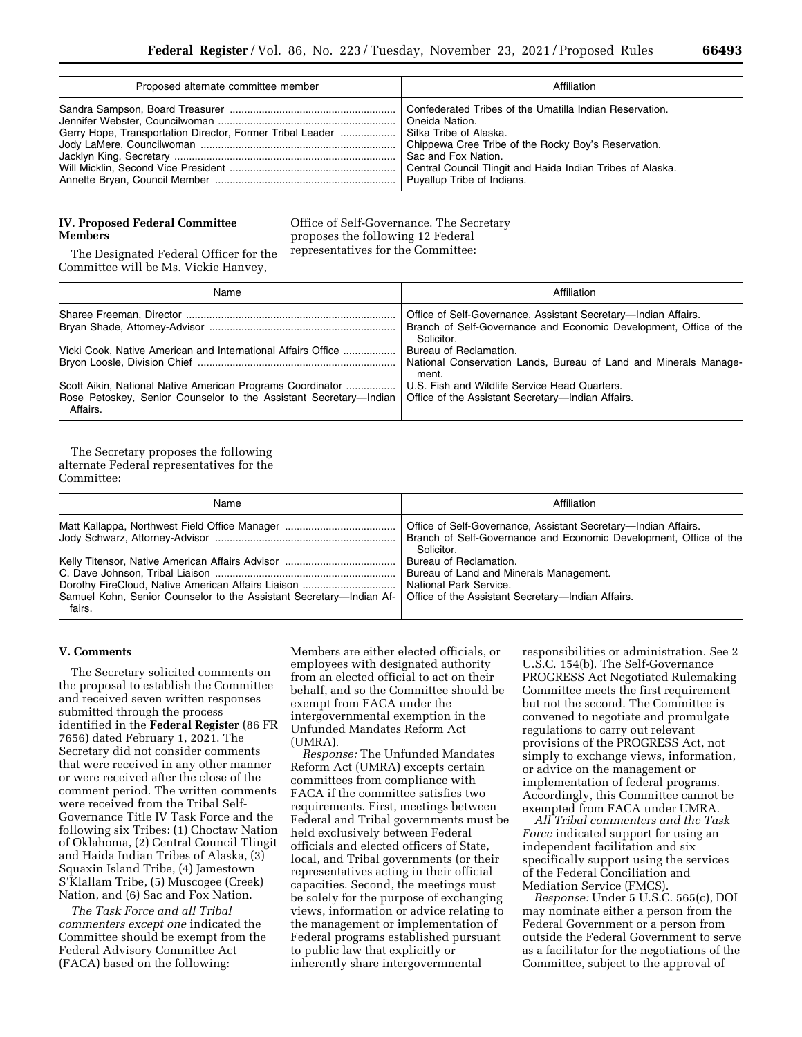| Proposed alternate committee member                                                 | Affiliation                                                                                                                                                                                         |
|-------------------------------------------------------------------------------------|-----------------------------------------------------------------------------------------------------------------------------------------------------------------------------------------------------|
| Gerry Hope, Transportation Director, Former Tribal Leader    Sitka Tribe of Alaska. | Confederated Tribes of the Umatilla Indian Reservation.<br>Chippewa Cree Tribe of the Rocky Boy's Reservation.<br>Sac and Fox Nation.<br>Central Council Tlingit and Haida Indian Tribes of Alaska. |

#### **IV. Proposed Federal Committee Members**

Office of Self-Governance. The Secretary proposes the following 12 Federal representatives for the Committee:

The Designated Federal Officer for the Committee will be Ms. Vickie Hanvey,

| Name                                                                                                                                                                                               | Affiliation                                                                                                                                       |
|----------------------------------------------------------------------------------------------------------------------------------------------------------------------------------------------------|---------------------------------------------------------------------------------------------------------------------------------------------------|
|                                                                                                                                                                                                    | Office of Self-Governance, Assistant Secretary—Indian Affairs.<br>Branch of Self-Governance and Economic Development, Office of the<br>Solicitor. |
| Vicki Cook, Native American and International Affairs Office                                                                                                                                       | Bureau of Reclamation.<br>National Conservation Lands, Bureau of Land and Minerals Manage-<br>ment.                                               |
| Scott Aikin, National Native American Programs Coordinator   <br>Rose Petoskey, Senior Counselor to the Assistant Secretary—Indian   Office of the Assistant Secretary—Indian Affairs.<br>Affairs. | U.S. Fish and Wildlife Service Head Quarters.                                                                                                     |

The Secretary proposes the following alternate Federal representatives for the Committee:

| Name                                                                                                                              | Affiliation                                                                                                                                       |
|-----------------------------------------------------------------------------------------------------------------------------------|---------------------------------------------------------------------------------------------------------------------------------------------------|
|                                                                                                                                   | Office of Self-Governance, Assistant Secretary—Indian Affairs.<br>Branch of Self-Governance and Economic Development, Office of the<br>Solicitor. |
| Samuel Kohn, Senior Counselor to the Assistant Secretary—Indian Af-   Office of the Assistant Secretary—Indian Affairs.<br>fairs. | Bureau of Reclamation.<br>Bureau of Land and Minerals Management.<br>National Park Service.                                                       |

# **V. Comments**

The Secretary solicited comments on the proposal to establish the Committee and received seven written responses submitted through the process identified in the **Federal Register** (86 FR 7656) dated February 1, 2021. The Secretary did not consider comments that were received in any other manner or were received after the close of the comment period. The written comments were received from the Tribal Self-Governance Title IV Task Force and the following six Tribes: (1) Choctaw Nation of Oklahoma, (2) Central Council Tlingit and Haida Indian Tribes of Alaska, (3) Squaxin Island Tribe, (4) Jamestown S'Klallam Tribe, (5) Muscogee (Creek) Nation, and (6) Sac and Fox Nation.

*The Task Force and all Tribal commenters except one* indicated the Committee should be exempt from the Federal Advisory Committee Act (FACA) based on the following:

Members are either elected officials, or employees with designated authority from an elected official to act on their behalf, and so the Committee should be exempt from FACA under the intergovernmental exemption in the Unfunded Mandates Reform Act (UMRA).

*Response:* The Unfunded Mandates Reform Act (UMRA) excepts certain committees from compliance with FACA if the committee satisfies two requirements. First, meetings between Federal and Tribal governments must be held exclusively between Federal officials and elected officers of State, local, and Tribal governments (or their representatives acting in their official capacities. Second, the meetings must be solely for the purpose of exchanging views, information or advice relating to the management or implementation of Federal programs established pursuant to public law that explicitly or inherently share intergovernmental

responsibilities or administration. See 2 U.S.C. 154(b). The Self-Governance PROGRESS Act Negotiated Rulemaking Committee meets the first requirement but not the second. The Committee is convened to negotiate and promulgate regulations to carry out relevant provisions of the PROGRESS Act, not simply to exchange views, information, or advice on the management or implementation of federal programs. Accordingly, this Committee cannot be exempted from FACA under UMRA.

*All Tribal commenters and the Task Force* indicated support for using an independent facilitation and six specifically support using the services of the Federal Conciliation and Mediation Service (FMCS).

*Response:* Under 5 U.S.C. 565(c), DOI may nominate either a person from the Federal Government or a person from outside the Federal Government to serve as a facilitator for the negotiations of the Committee, subject to the approval of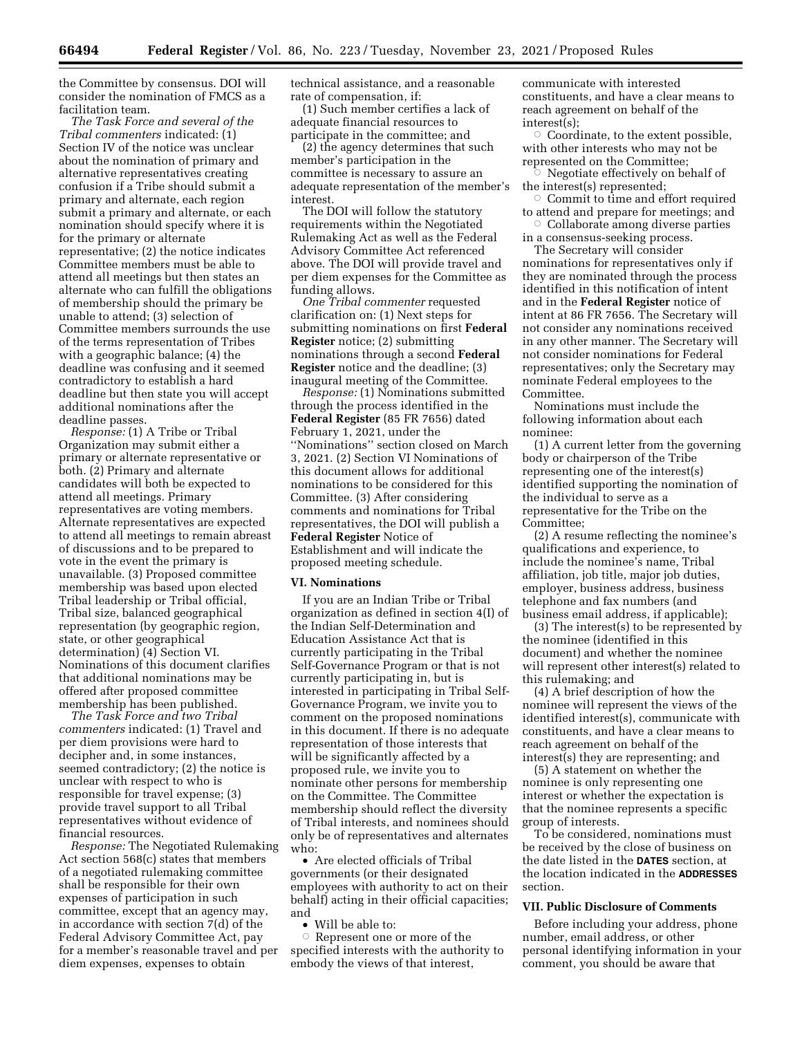the Committee by consensus. DOI will consider the nomination of FMCS as a facilitation team.

*The Task Force and several of the Tribal commenters* indicated: (1) Section IV of the notice was unclear about the nomination of primary and alternative representatives creating confusion if a Tribe should submit a primary and alternate, each region submit a primary and alternate, or each nomination should specify where it is for the primary or alternate representative; (2) the notice indicates Committee members must be able to attend all meetings but then states an alternate who can fulfill the obligations of membership should the primary be unable to attend; (3) selection of Committee members surrounds the use of the terms representation of Tribes with a geographic balance; (4) the deadline was confusing and it seemed contradictory to establish a hard deadline but then state you will accept additional nominations after the deadline passes.

*Response:* (1) A Tribe or Tribal Organization may submit either a primary or alternate representative or both. (2) Primary and alternate candidates will both be expected to attend all meetings. Primary representatives are voting members. Alternate representatives are expected to attend all meetings to remain abreast of discussions and to be prepared to vote in the event the primary is unavailable. (3) Proposed committee membership was based upon elected Tribal leadership or Tribal official, Tribal size, balanced geographical representation (by geographic region, state, or other geographical determination) (4) Section VI. Nominations of this document clarifies that additional nominations may be offered after proposed committee membership has been published.

*The Task Force and two Tribal commenters* indicated: (1) Travel and per diem provisions were hard to decipher and, in some instances, seemed contradictory; (2) the notice is unclear with respect to who is responsible for travel expense; (3) provide travel support to all Tribal representatives without evidence of financial resources.

*Response:* The Negotiated Rulemaking Act section 568(c) states that members of a negotiated rulemaking committee shall be responsible for their own expenses of participation in such committee, except that an agency may, in accordance with section 7(d) of the Federal Advisory Committee Act, pay for a member's reasonable travel and per diem expenses, expenses to obtain

technical assistance, and a reasonable rate of compensation, if:

(1) Such member certifies a lack of adequate financial resources to participate in the committee; and

(2) the agency determines that such member's participation in the committee is necessary to assure an adequate representation of the member's interest.

The DOI will follow the statutory requirements within the Negotiated Rulemaking Act as well as the Federal Advisory Committee Act referenced above. The DOI will provide travel and per diem expenses for the Committee as funding allows.

*One Tribal commenter* requested clarification on: (1) Next steps for submitting nominations on first **Federal Register** notice; (2) submitting nominations through a second **Federal Register** notice and the deadline; (3) inaugural meeting of the Committee.

*Response:* (1) Nominations submitted through the process identified in the **Federal Register** (85 FR 7656) dated February 1, 2021, under the ''Nominations'' section closed on March 3, 2021. (2) Section VI Nominations of this document allows for additional nominations to be considered for this Committee. (3) After considering comments and nominations for Tribal representatives, the DOI will publish a **Federal Register** Notice of Establishment and will indicate the proposed meeting schedule.

#### **VI. Nominations**

If you are an Indian Tribe or Tribal organization as defined in section 4(I) of the Indian Self-Determination and Education Assistance Act that is currently participating in the Tribal Self-Governance Program or that is not currently participating in, but is interested in participating in Tribal Self-Governance Program, we invite you to comment on the proposed nominations in this document. If there is no adequate representation of those interests that will be significantly affected by a proposed rule, we invite you to nominate other persons for membership on the Committee. The Committee membership should reflect the diversity of Tribal interests, and nominees should only be of representatives and alternates who:

• Are elected officials of Tribal governments (or their designated employees with authority to act on their behalf) acting in their official capacities; and

Will be able to:

 $\circ$  Represent one or more of the specified interests with the authority to embody the views of that interest,

communicate with interested constituents, and have a clear means to reach agreement on behalf of the interest(s);

 $\circ$  Coordinate, to the extent possible, with other interests who may not be represented on the Committee;

Æ Negotiate effectively on behalf of the interest(s) represented;

 $\circ$  Commit to time and effort required to attend and prepare for meetings; and

 $\circ$  Collaborate among diverse parties in a consensus-seeking process.

The Secretary will consider nominations for representatives only if they are nominated through the process identified in this notification of intent and in the **Federal Register** notice of intent at 86 FR 7656. The Secretary will not consider any nominations received in any other manner. The Secretary will not consider nominations for Federal representatives; only the Secretary may nominate Federal employees to the

Nominations must include the following information about each nominee:

Committee.

(1) A current letter from the governing body or chairperson of the Tribe representing one of the interest(s) identified supporting the nomination of the individual to serve as a representative for the Tribe on the Committee;

(2) A resume reflecting the nominee's qualifications and experience, to include the nominee's name, Tribal affiliation, job title, major job duties, employer, business address, business telephone and fax numbers (and business email address, if applicable);

(3) The interest(s) to be represented by the nominee (identified in this document) and whether the nominee will represent other interest(s) related to this rulemaking; and

(4) A brief description of how the nominee will represent the views of the identified interest(s), communicate with constituents, and have a clear means to reach agreement on behalf of the interest(s) they are representing; and

(5) A statement on whether the nominee is only representing one interest or whether the expectation is that the nominee represents a specific group of interests.

To be considered, nominations must be received by the close of business on the date listed in the **DATES** section, at the location indicated in the **ADDRESSES** section.

#### **VII. Public Disclosure of Comments**

Before including your address, phone number, email address, or other personal identifying information in your comment, you should be aware that